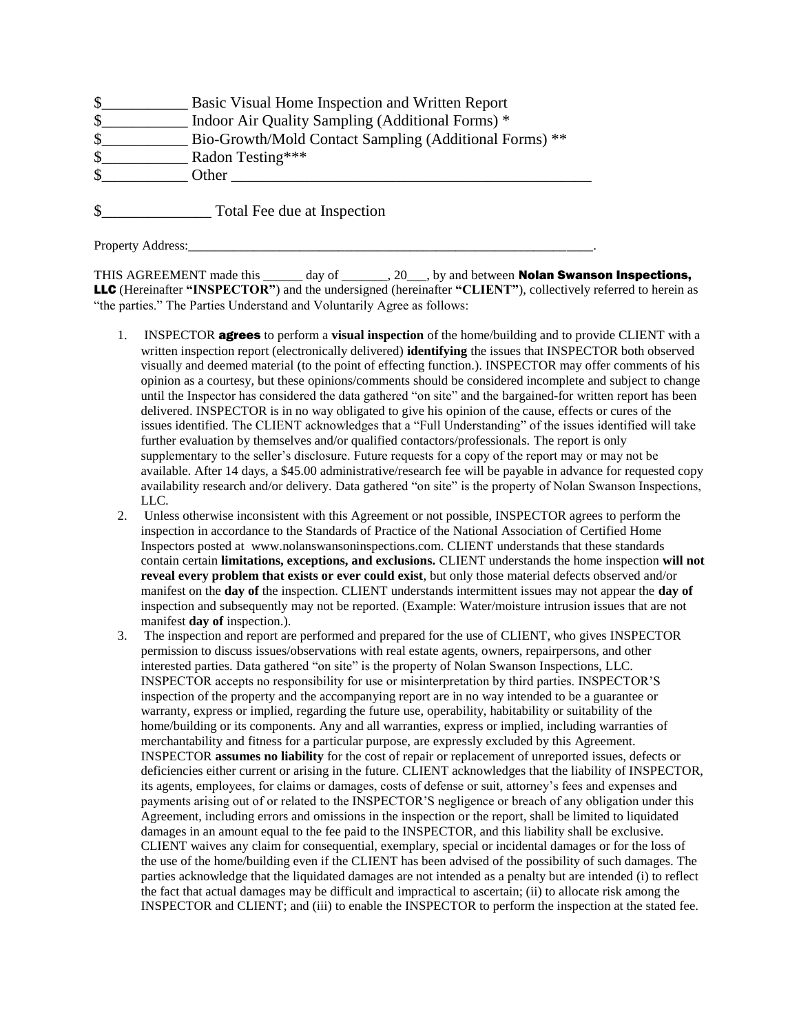|               | Basic Visual Home Inspection and Written Report        |
|---------------|--------------------------------------------------------|
| $\mathcal{S}$ | Indoor Air Quality Sampling (Additional Forms) *       |
| \$            | Bio-Growth/Mold Contact Sampling (Additional Forms) ** |
| $\mathcal{S}$ | Radon Testing***                                       |
| -S            | Other                                                  |
|               |                                                        |

\$\_\_\_\_\_\_\_\_\_\_\_\_\_\_ Total Fee due at Inspection

Property Address:

THIS AGREEMENT made this day of . 20 by and between **Nolan Swanson Inspections,** LLC (Hereinafter **"INSPECTOR"**) and the undersigned (hereinafter **"CLIENT"**), collectively referred to herein as "the parties." The Parties Understand and Voluntarily Agree as follows:

- 1. INSPECTOR agrees to perform a **visual inspection** of the home/building and to provide CLIENT with a written inspection report (electronically delivered) **identifying** the issues that INSPECTOR both observed visually and deemed material (to the point of effecting function.). INSPECTOR may offer comments of his opinion as a courtesy, but these opinions/comments should be considered incomplete and subject to change until the Inspector has considered the data gathered "on site" and the bargained-for written report has been delivered. INSPECTOR is in no way obligated to give his opinion of the cause, effects or cures of the issues identified. The CLIENT acknowledges that a "Full Understanding" of the issues identified will take further evaluation by themselves and/or qualified contactors/professionals. The report is only supplementary to the seller's disclosure. Future requests for a copy of the report may or may not be available. After 14 days, a \$45.00 administrative/research fee will be payable in advance for requested copy availability research and/or delivery. Data gathered "on site" is the property of Nolan Swanson Inspections, LLC.
- 2. Unless otherwise inconsistent with this Agreement or not possible, INSPECTOR agrees to perform the inspection in accordance to the Standards of Practice of the National Association of Certified Home Inspectors posted at www.nolanswansoninspections.com. CLIENT understands that these standards contain certain **limitations, exceptions, and exclusions.** CLIENT understands the home inspection **will not reveal every problem that exists or ever could exist**, but only those material defects observed and/or manifest on the **day of** the inspection. CLIENT understands intermittent issues may not appear the **day of**  inspection and subsequently may not be reported. (Example: Water/moisture intrusion issues that are not manifest **day of** inspection.).
- 3. The inspection and report are performed and prepared for the use of CLIENT, who gives INSPECTOR permission to discuss issues/observations with real estate agents, owners, repairpersons, and other interested parties. Data gathered "on site" is the property of Nolan Swanson Inspections, LLC. INSPECTOR accepts no responsibility for use or misinterpretation by third parties. INSPECTOR'S inspection of the property and the accompanying report are in no way intended to be a guarantee or warranty, express or implied, regarding the future use, operability, habitability or suitability of the home/building or its components. Any and all warranties, express or implied, including warranties of merchantability and fitness for a particular purpose, are expressly excluded by this Agreement. INSPECTOR **assumes no liability** for the cost of repair or replacement of unreported issues, defects or deficiencies either current or arising in the future. CLIENT acknowledges that the liability of INSPECTOR, its agents, employees, for claims or damages, costs of defense or suit, attorney's fees and expenses and payments arising out of or related to the INSPECTOR'S negligence or breach of any obligation under this Agreement, including errors and omissions in the inspection or the report, shall be limited to liquidated damages in an amount equal to the fee paid to the INSPECTOR, and this liability shall be exclusive. CLIENT waives any claim for consequential, exemplary, special or incidental damages or for the loss of the use of the home/building even if the CLIENT has been advised of the possibility of such damages. The parties acknowledge that the liquidated damages are not intended as a penalty but are intended (i) to reflect the fact that actual damages may be difficult and impractical to ascertain; (ii) to allocate risk among the INSPECTOR and CLIENT; and (iii) to enable the INSPECTOR to perform the inspection at the stated fee.